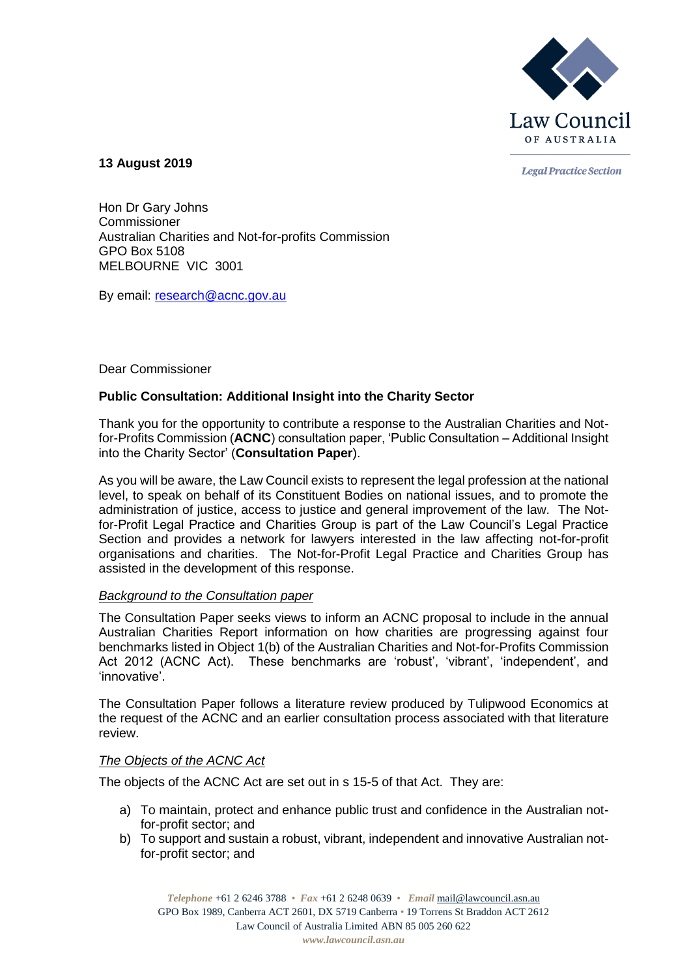

**Legal Practice Section** 

**13 August 2019**

Hon Dr Gary Johns **Commissioner** Australian Charities and Not-for-profits Commission GPO Box 5108 MELBOURNE VIC 3001

By email: [research@acnc.gov.au](mailto:research@acnc.gov.au)

## Dear Commissioner

# **Public Consultation: Additional Insight into the Charity Sector**

Thank you for the opportunity to contribute a response to the Australian Charities and Notfor-Profits Commission (**ACNC**) consultation paper, 'Public Consultation – Additional Insight into the Charity Sector' (**Consultation Paper**).

As you will be aware, the Law Council exists to represent the legal profession at the national level, to speak on behalf of its Constituent Bodies on national issues, and to promote the administration of justice, access to justice and general improvement of the law. The Notfor-Profit Legal Practice and Charities Group is part of the Law Council's Legal Practice Section and provides a network for lawyers interested in the law affecting not-for-profit organisations and charities. The Not-for-Profit Legal Practice and Charities Group has assisted in the development of this response.

## *Background to the Consultation paper*

The Consultation Paper seeks views to inform an ACNC proposal to include in the annual Australian Charities Report information on how charities are progressing against four benchmarks listed in Object 1(b) of the Australian Charities and Not-for-Profits Commission Act 2012 (ACNC Act). These benchmarks are 'robust', 'vibrant', 'independent', and 'innovative'.

The Consultation Paper follows a literature review produced by Tulipwood Economics at the request of the ACNC and an earlier consultation process associated with that literature review.

## *The Objects of the ACNC Act*

The objects of the ACNC Act are set out in s 15-5 of that Act. They are:

- a) To maintain, protect and enhance public trust and confidence in the Australian notfor-profit sector; and
- b) To support and sustain a robust, vibrant, independent and innovative Australian notfor-profit sector; and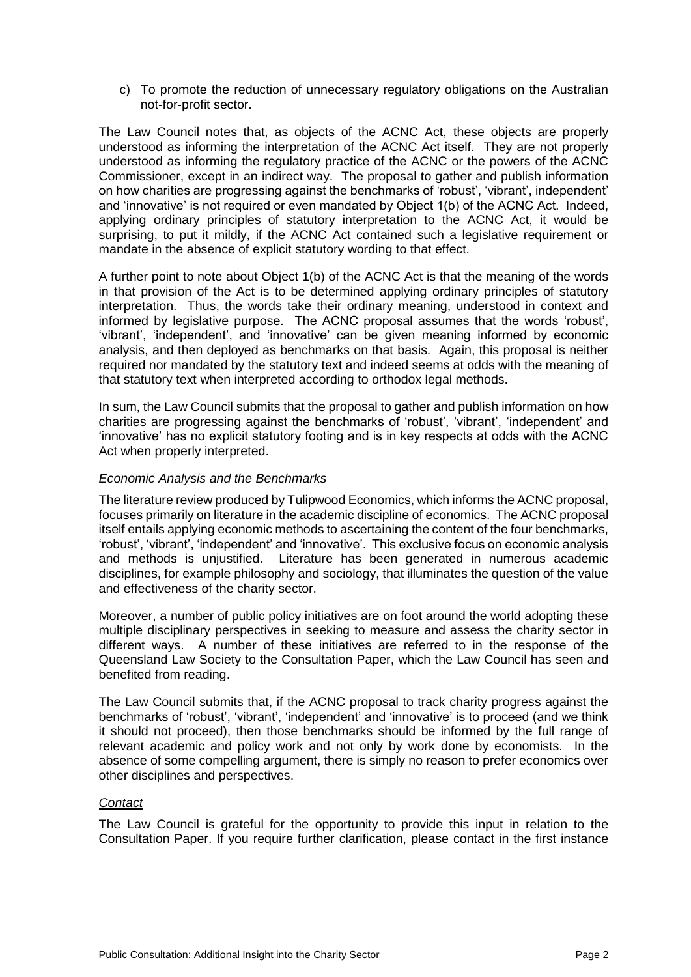c) To promote the reduction of unnecessary regulatory obligations on the Australian not-for-profit sector.

The Law Council notes that, as objects of the ACNC Act, these objects are properly understood as informing the interpretation of the ACNC Act itself. They are not properly understood as informing the regulatory practice of the ACNC or the powers of the ACNC Commissioner, except in an indirect way. The proposal to gather and publish information on how charities are progressing against the benchmarks of 'robust', 'vibrant', independent' and 'innovative' is not required or even mandated by Object 1(b) of the ACNC Act. Indeed, applying ordinary principles of statutory interpretation to the ACNC Act, it would be surprising, to put it mildly, if the ACNC Act contained such a legislative requirement or mandate in the absence of explicit statutory wording to that effect.

A further point to note about Object 1(b) of the ACNC Act is that the meaning of the words in that provision of the Act is to be determined applying ordinary principles of statutory interpretation. Thus, the words take their ordinary meaning, understood in context and informed by legislative purpose. The ACNC proposal assumes that the words 'robust', 'vibrant', 'independent', and 'innovative' can be given meaning informed by economic analysis, and then deployed as benchmarks on that basis. Again, this proposal is neither required nor mandated by the statutory text and indeed seems at odds with the meaning of that statutory text when interpreted according to orthodox legal methods.

In sum, the Law Council submits that the proposal to gather and publish information on how charities are progressing against the benchmarks of 'robust', 'vibrant', 'independent' and 'innovative' has no explicit statutory footing and is in key respects at odds with the ACNC Act when properly interpreted.

## *Economic Analysis and the Benchmarks*

The literature review produced by Tulipwood Economics, which informs the ACNC proposal, focuses primarily on literature in the academic discipline of economics. The ACNC proposal itself entails applying economic methods to ascertaining the content of the four benchmarks, 'robust', 'vibrant', 'independent' and 'innovative'. This exclusive focus on economic analysis and methods is unjustified. Literature has been generated in numerous academic disciplines, for example philosophy and sociology, that illuminates the question of the value and effectiveness of the charity sector.

Moreover, a number of public policy initiatives are on foot around the world adopting these multiple disciplinary perspectives in seeking to measure and assess the charity sector in different ways. A number of these initiatives are referred to in the response of the Queensland Law Society to the Consultation Paper, which the Law Council has seen and benefited from reading.

The Law Council submits that, if the ACNC proposal to track charity progress against the benchmarks of 'robust', 'vibrant', 'independent' and 'innovative' is to proceed (and we think it should not proceed), then those benchmarks should be informed by the full range of relevant academic and policy work and not only by work done by economists. In the absence of some compelling argument, there is simply no reason to prefer economics over other disciplines and perspectives.

## *Contact*

The Law Council is grateful for the opportunity to provide this input in relation to the Consultation Paper. If you require further clarification, please contact in the first instance